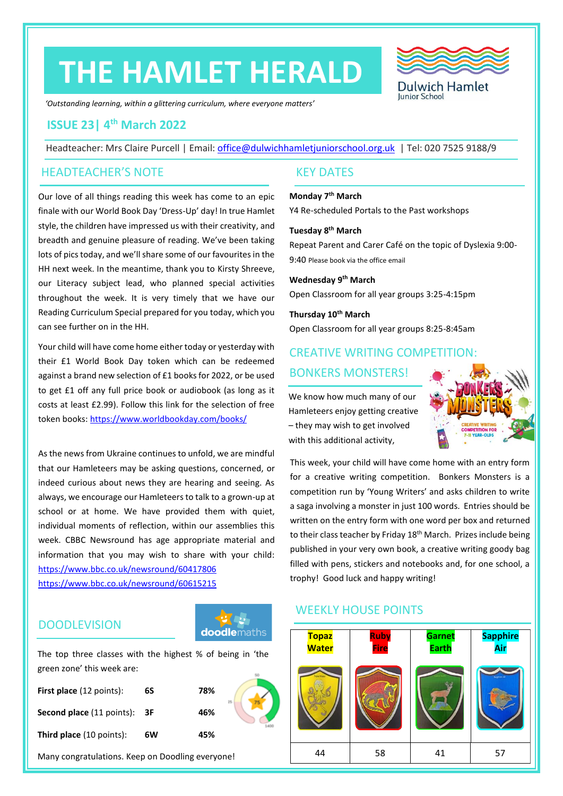## **THE HAMLET HERALD**



*'Outstanding learning, within a glittering curriculum, where everyone matters'*

### **ISSUE 23| 4 th March 2022**

Headteacher: Mrs Claire Purcell | Email: [office@dulwichhamletjuniorschool.org.uk](mailto:office@dulwichhamletjuniorschool.org.uk) | Tel: 020 7525 9188/9

### HEADTEACHER'S NOTE KEY DATES

Our love of all things reading this week has come to an epic finale with our World Book Day 'Dress-Up' day! In true Hamlet style, the children have impressed us with their creativity, and breadth and genuine pleasure of reading. We've been taking lots of pics today, and we'll share some of our favourites in the HH next week. In the meantime, thank you to Kirsty Shreeve, our Literacy subject lead, who planned special activities throughout the week. It is very timely that we have our Reading Curriculum Special prepared for you today, which you can see further on in the HH.

Your child will have come home either today or yesterday with their £1 World Book Day token which can be redeemed against a brand new selection of £1 books for 2022, or be used to get £1 off any full price book or audiobook (as long as it costs at least £2.99). Follow this link for the selection of free token books:<https://www.worldbookday.com/books/>

As the news from Ukraine continues to unfold, we are mindful that our Hamleteers may be asking questions, concerned, or indeed curious about news they are hearing and seeing. As always, we encourage our Hamleteers to talk to a grown-up at school or at home. We have provided them with quiet, individual moments of reflection, within our assemblies this week. CBBC Newsround has age appropriate material and information that you may wish to share with your child: <https://www.bbc.co.uk/newsround/60417806> <https://www.bbc.co.uk/newsround/60615215>

### **DOODLEVISION**



The top three classes with the highest % of being in 'the green zone' this week are:

| <b>First place</b> (12 points):            | 6S | 78% | 25 |
|--------------------------------------------|----|-----|----|
| <b>Second place</b> (11 points): <b>3F</b> |    | 46% |    |
| <b>Third place</b> (10 points):            | 6W | 45% |    |

Many congratulations. Keep on Doodling everyone!

**Monday 7 th March** Y4 Re-scheduled Portals to the Past workshops

**Tuesday 8 th March** Repeat Parent and Carer Café on the topic of Dyslexia 9:00- 9:40 Please book via the office email

**Wednesday 9th March** Open Classroom for all year groups 3:25-4:15pm

**Thursday 10th March** Open Classroom for all year groups 8:25-8:45am

### CREATIVE WRITING COMPETITION: BONKERS MONSTERS!

We know how much many of our Hamleteers enjoy getting creative – they may wish to get involved with this additional activity,



This week, your child will have come home with an entry form for a creative writing competition. Bonkers Monsters is a competition run by 'Young Writers' and asks children to write a saga involving a monster in just 100 words. Entries should be written on the entry form with one word per box and returned to their class teacher by Friday 18<sup>th</sup> March. Prizes include being published in your very own book, a creative writing goody bag filled with pens, stickers and notebooks and, for one school, a trophy! Good luck and happy writing!

### WEEKLY HOUSE POINTS

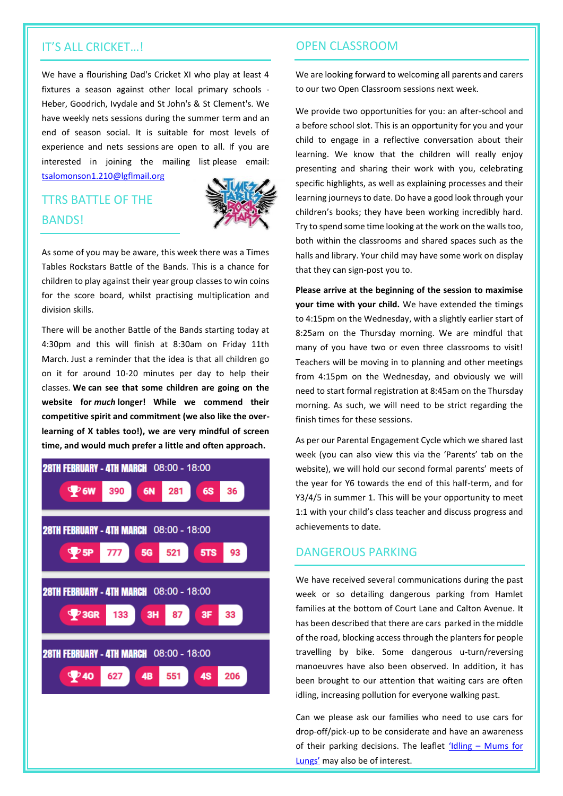### IT'S ALL CRICKET…!

We have a flourishing Dad's Cricket XI who play at least 4 fixtures a season against other local primary schools - Heber, Goodrich, Ivydale and St John's & St Clement's. We have weekly nets sessions during the summer term and an end of season social. It is suitable for most levels of experience and nets sessions are open to all. If you are interested in joining the mailing list please email: [tsalomonson1.210@lgflmail.org](mailto:tsalomonson1.210@lgflmail.org)

### TTRS BATTLE OF THE BANDS!



As some of you may be aware, this week there was a Times Tables Rockstars Battle of the Bands. This is a chance for children to play against their year group classes to win coins for the score board, whilst practising multiplication and division skills.

There will be another Battle of the Bands starting today at 4:30pm and this will finish at 8:30am on Friday 11th March. Just a reminder that the idea is that all children go on it for around 10-20 minutes per day to help their classes. **We can see that some children are going on the website for** *much* **longer! While we commend their competitive spirit and commitment (we also like the overlearning of X tables too!), we are very mindful of screen time, and would much prefer a little and often approach.**



### OPEN CLASSROOM

We are looking forward to welcoming all parents and carers to our two Open Classroom sessions next week.

We provide two opportunities for you: an after-school and a before school slot. This is an opportunity for you and your child to engage in a reflective conversation about their learning. We know that the children will really enjoy presenting and sharing their work with you, celebrating specific highlights, as well as explaining processes and their learning journeys to date. Do have a good look through your children's books; they have been working incredibly hard. Try to spend some time looking at the work on the walls too, both within the classrooms and shared spaces such as the halls and library. Your child may have some work on display that they can sign-post you to.

**Please arrive at the beginning of the session to maximise your time with your child.** We have extended the timings to 4:15pm on the Wednesday, with a slightly earlier start of 8:25am on the Thursday morning. We are mindful that many of you have two or even three classrooms to visit! Teachers will be moving in to planning and other meetings from 4:15pm on the Wednesday, and obviously we will need to start formal registration at 8:45am on the Thursday morning. As such, we will need to be strict regarding the finish times for these sessions.

As per our Parental Engagement Cycle which we shared last week (you can also view this via the 'Parents' tab on the website), we will hold our second formal parents' meets of the year for Y6 towards the end of this half-term, and for Y3/4/5 in summer 1. This will be your opportunity to meet 1:1 with your child's class teacher and discuss progress and achievements to date.

### DANGEROUS PARKING

We have received several communications during the past week or so detailing dangerous parking from Hamlet families at the bottom of Court Lane and Calton Avenue. It has been described that there are cars parked in the middle of the road, blocking access through the planters for people travelling by bike. Some dangerous u-turn/reversing manoeuvres have also been observed. In addition, it has been brought to our attention that waiting cars are often idling, increasing pollution for everyone walking past.

Can we please ask our families who need to use cars for drop-off/pick-up to be considerate and have an awareness of their parking decisions. The leaflet  $'$ Idling – Mums for [Lungs'](https://www.mumsforlungs.org/our-campaigns/idling) may also be of interest.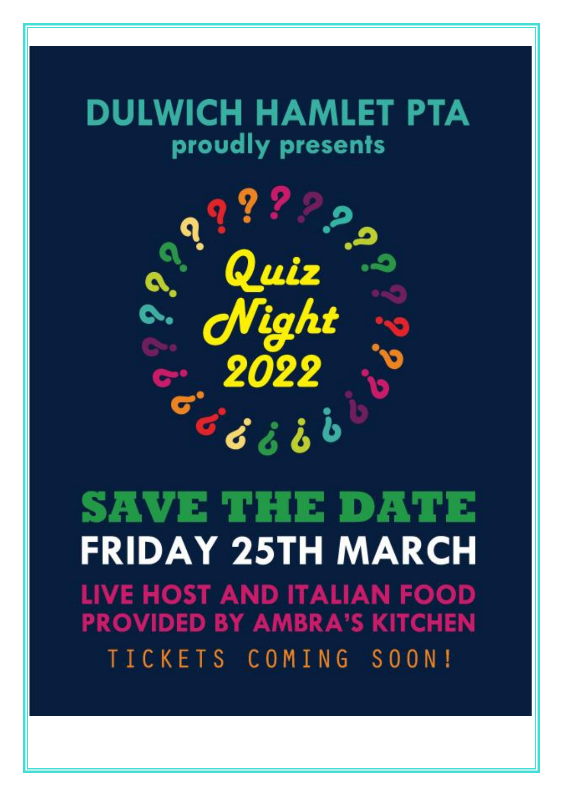## **DULWICH HAMLET PTA** proudly presents



# SAVE THE DATE **FRIDAY 25TH MARCH LIVE HOST AND ITALIAN FOOD PROVIDED BY AMBRA'S KITCHEN** TICKETS COMING SOON!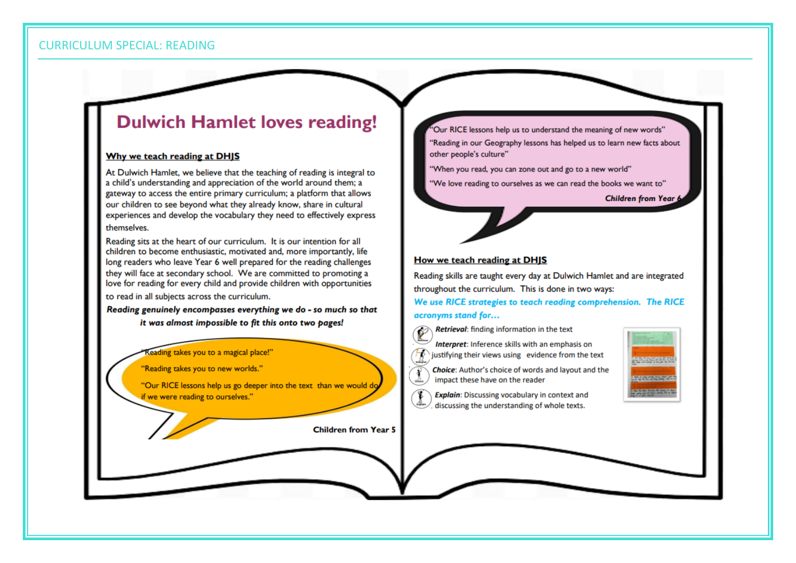**CURRICULUM SPECIAL: READING** 

## **Dulwich Hamlet loves reading!**

### Why we teach reading at DHJS

At Dulwich Hamlet, we believe that the teaching of reading is integral to a child's understanding and appreciation of the world around them; a gateway to access the entire primary curriculum; a platform that allows our children to see beyond what they already know, share in cultural experiences and develop the vocabulary they need to effectively express themselves

Reading sits at the heart of our curriculum. It is our intention for all children to become enthusiastic, motivated and, more importantly, life long readers who leave Year 6 well prepared for the reading challenges they will face at secondary school. We are committed to promoting a love for reading for every child and provide children with opportunities

to read in all subjects across the curriculum.

Reading genuinely encompasses everything we do - so much so that it was almost impossible to fit this onto two pages!

Reading takes you to a magical place!"

"Reading takes you to new worlds."

"Our RICE lessons help us go deeper into the text than we would do if we were reading to ourselves."

**Children from Year 5** 

Our RICE lessons help us to understand the meaning of new words" 'Reading in our Geography lessons has helped us to learn new facts about other people's culture"

"When you read, you can zone out and go to a new world"

"We love reading to ourselves as we can read the books we want to"

**Children from Year 6** 

### How we teach reading at DHJS

Reading skills are taught every day at Dulwich Hamlet and are integrated throughout the curriculum. This is done in two ways:

We use RICE strategies to teach reading comprehension. The RICE acronyms stand for...

Retrieval: finding information in the text

- Interpret: Inference skills with an emphasis on
- justifying their views using evidence from the text
- **Choice:** Author's choice of words and layout and the impact these have on the reader
- Explain: Discussing vocabulary in context and discussing the understanding of whole texts.